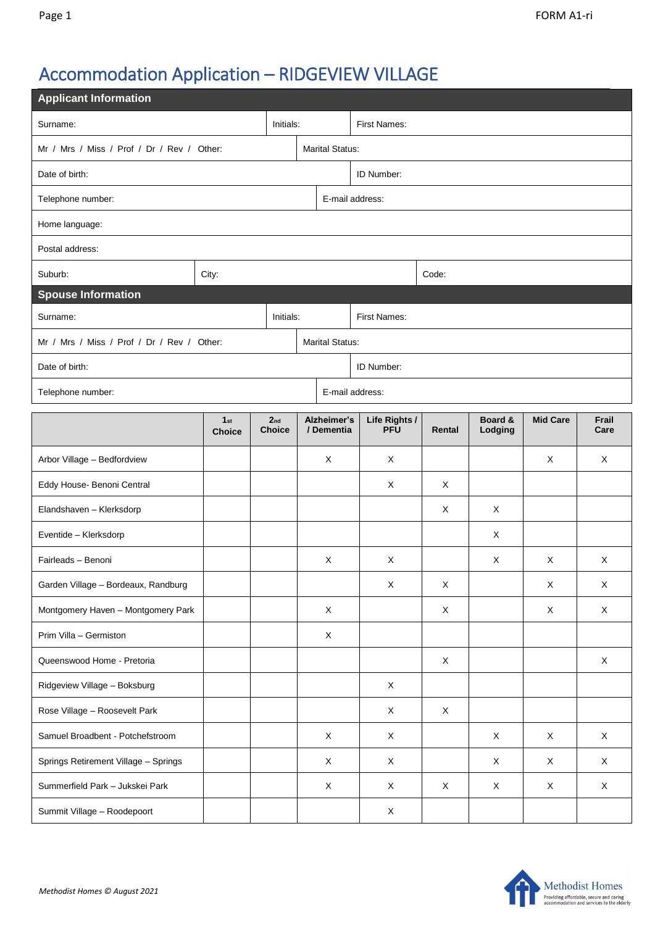# Accommodation Application – RIDGEVIEW VILLAGE

| <b>Applicant Information</b>               |                                  |  |                                  |                           |                             |             |                    |                 |               |  |  |  |
|--------------------------------------------|----------------------------------|--|----------------------------------|---------------------------|-----------------------------|-------------|--------------------|-----------------|---------------|--|--|--|
| Surname:<br>Initials:                      |                                  |  |                                  |                           | <b>First Names:</b>         |             |                    |                 |               |  |  |  |
| Mr / Mrs / Miss / Prof / Dr / Rev / Other: |                                  |  |                                  | <b>Marital Status:</b>    |                             |             |                    |                 |               |  |  |  |
| Date of birth:                             |                                  |  |                                  | ID Number:                |                             |             |                    |                 |               |  |  |  |
| Telephone number:                          |                                  |  |                                  |                           | E-mail address:             |             |                    |                 |               |  |  |  |
| Home language:                             |                                  |  |                                  |                           |                             |             |                    |                 |               |  |  |  |
| Postal address:                            |                                  |  |                                  |                           |                             |             |                    |                 |               |  |  |  |
| Suburb:                                    | City:                            |  |                                  |                           | Code:                       |             |                    |                 |               |  |  |  |
| <b>Spouse Information</b>                  |                                  |  |                                  |                           |                             |             |                    |                 |               |  |  |  |
| Surname:<br>Initials:                      |                                  |  |                                  | First Names:              |                             |             |                    |                 |               |  |  |  |
| Mr / Mrs / Miss / Prof / Dr / Rev / Other: |                                  |  |                                  |                           | <b>Marital Status:</b>      |             |                    |                 |               |  |  |  |
| Date of birth:                             |                                  |  |                                  |                           | ID Number:                  |             |                    |                 |               |  |  |  |
| E-mail address:<br>Telephone number:       |                                  |  |                                  |                           |                             |             |                    |                 |               |  |  |  |
|                                            | 1 <sub>st</sub><br><b>Choice</b> |  | 2 <sub>nd</sub><br><b>Choice</b> | Alzheimer's<br>/ Dementia | Life Rights /<br><b>PFU</b> | Rental      | Board &<br>Lodging | <b>Mid Care</b> | Frail<br>Care |  |  |  |
| Arbor Village - Bedfordview                |                                  |  |                                  | X                         | X                           |             |                    | X               | X             |  |  |  |
| Eddy House- Benoni Central                 |                                  |  |                                  |                           | X                           | X           |                    |                 |               |  |  |  |
| Elandshaven - Klerksdorp                   |                                  |  |                                  |                           |                             | X           | X                  |                 |               |  |  |  |
| Eventide - Klerksdorp                      |                                  |  |                                  |                           |                             |             | X                  |                 |               |  |  |  |
| Fairleads - Benoni                         |                                  |  |                                  | X                         | Χ                           |             | X                  | X               | X             |  |  |  |
| Garden Village - Bordeaux, Randburg        |                                  |  |                                  |                           | $\mathsf X$                 | $\mathsf X$ |                    | $\mathsf X$     | X             |  |  |  |
| Montgomery Haven - Montgomery Park         |                                  |  |                                  | $\mathsf X$               |                             | $\mathsf X$ |                    | X               | $\mathsf X$   |  |  |  |
| Prim Villa - Germiston                     |                                  |  |                                  | X                         |                             |             |                    |                 |               |  |  |  |
| Queenswood Home - Pretoria                 |                                  |  |                                  |                           |                             | X           |                    |                 | X             |  |  |  |
| Ridgeview Village - Boksburg               |                                  |  |                                  |                           | $\mathsf X$                 |             |                    |                 |               |  |  |  |
| Rose Village - Roosevelt Park              |                                  |  |                                  |                           | X                           | $\mathsf X$ |                    |                 |               |  |  |  |
| Samuel Broadbent - Potchefstroom           |                                  |  |                                  | $\mathsf X$               | X                           |             | X                  | $\mathsf{X}$    | $\mathsf X$   |  |  |  |
| Springs Retirement Village - Springs       |                                  |  |                                  | X                         | X                           |             | X                  | X               | $\mathsf X$   |  |  |  |
| Summerfield Park - Jukskei Park            |                                  |  |                                  | X                         | X                           | X           | $\mathsf X$        | X               | $\mathsf X$   |  |  |  |
| Summit Village - Roodepoort                |                                  |  |                                  |                           | X                           |             |                    |                 |               |  |  |  |

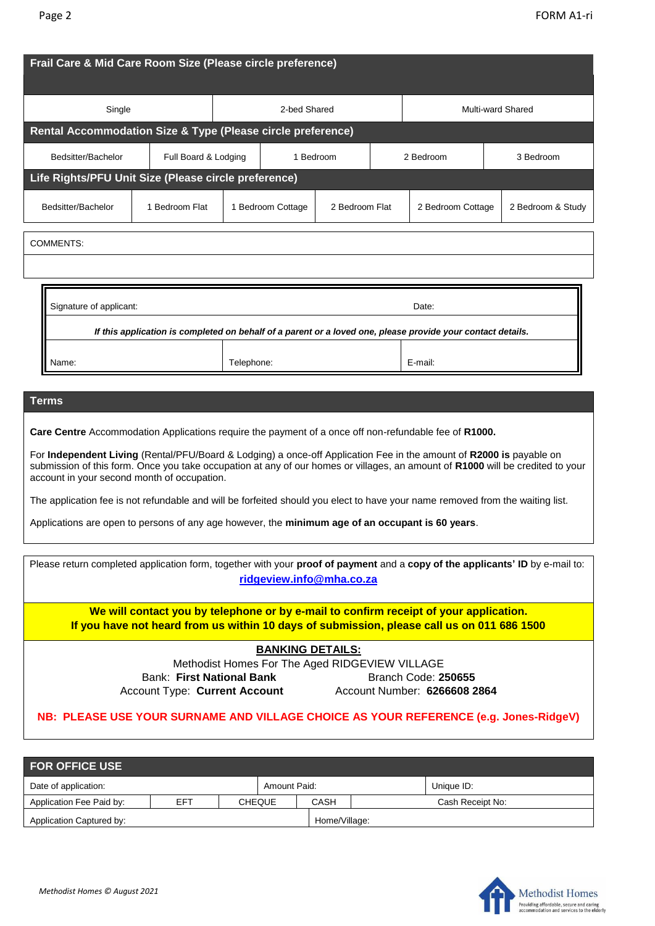| Frail Care & Mid Care Room Size (Please circle preference)                                                                                                                                                                                                                                                                                                                                                                    |                                                                                                                                                                          |  |                   |                |                   |                   |  |                   |  |
|-------------------------------------------------------------------------------------------------------------------------------------------------------------------------------------------------------------------------------------------------------------------------------------------------------------------------------------------------------------------------------------------------------------------------------|--------------------------------------------------------------------------------------------------------------------------------------------------------------------------|--|-------------------|----------------|-------------------|-------------------|--|-------------------|--|
| Single                                                                                                                                                                                                                                                                                                                                                                                                                        | 2-bed Shared                                                                                                                                                             |  |                   |                | Multi-ward Shared |                   |  |                   |  |
| Rental Accommodation Size & Type (Please circle preference)                                                                                                                                                                                                                                                                                                                                                                   |                                                                                                                                                                          |  |                   |                |                   |                   |  |                   |  |
| Bedsitter/Bachelor<br>Full Board & Lodging                                                                                                                                                                                                                                                                                                                                                                                    |                                                                                                                                                                          |  | 1 Bedroom         |                |                   | 2 Bedroom         |  | 3 Bedroom         |  |
| Life Rights/PFU Unit Size (Please circle preference)                                                                                                                                                                                                                                                                                                                                                                          |                                                                                                                                                                          |  |                   |                |                   |                   |  |                   |  |
| Bedsitter/Bachelor                                                                                                                                                                                                                                                                                                                                                                                                            | 1 Bedroom Flat                                                                                                                                                           |  | 1 Bedroom Cottage | 2 Bedroom Flat |                   | 2 Bedroom Cottage |  | 2 Bedroom & Study |  |
| COMMENTS:                                                                                                                                                                                                                                                                                                                                                                                                                     |                                                                                                                                                                          |  |                   |                |                   |                   |  |                   |  |
| Name:                                                                                                                                                                                                                                                                                                                                                                                                                         | Signature of applicant:<br>Date:<br>If this application is completed on behalf of a parent or a loved one, please provide your contact details.<br>Telephone:<br>E-mail: |  |                   |                |                   |                   |  |                   |  |
| <b>Terms</b><br>Care Centre Accommodation Applications require the payment of a once off non-refundable fee of R1000.<br>For Independent Living (Rental/PFU/Board & Lodging) a once-off Application Fee in the amount of R2000 is payable on<br>submission of this form. Once you take occupation at any of our homes or villages, an amount of R1000 will be credited to your<br>account in your second month of occupation. |                                                                                                                                                                          |  |                   |                |                   |                   |  |                   |  |
| The application fee is not refundable and will be forfeited should you elect to have your name removed from the waiting list.<br>Applications are open to persons of any age however, the minimum age of an occupant is 60 years.                                                                                                                                                                                             |                                                                                                                                                                          |  |                   |                |                   |                   |  |                   |  |
| Please return completed application form, together with your proof of payment and a copy of the applicants' ID by e-mail to:                                                                                                                                                                                                                                                                                                  |                                                                                                                                                                          |  |                   |                |                   |                   |  |                   |  |

**ridgeview.info@mha.co.za**

**We will contact you by telephone or by e-mail to confirm receipt of your application. If you have not heard from us within 10 days of submission, please call us on 011 686 1500**

# **BANKING DETAILS:**

Methodist Homes For The Aged RIDGEVIEW VILLAGE Bank: First National Bank **Branch Code: 250655** Account Type: **Current Account** Account Number: **6266608 2864**

# **NB: PLEASE USE YOUR SURNAME AND VILLAGE CHOICE AS YOUR REFERENCE (e.g. Jones-RidgeV)**

| <b>FOR OFFICE USE</b>    |     |               |  |               |  |                  |  |  |  |
|--------------------------|-----|---------------|--|---------------|--|------------------|--|--|--|
| Date of application:     |     |               |  | Amount Paid:  |  | Unique ID:       |  |  |  |
| Application Fee Paid by: | EFT | <b>CHEQUE</b> |  | CASH          |  | Cash Receipt No: |  |  |  |
| Application Captured by: |     |               |  | Home/Village: |  |                  |  |  |  |

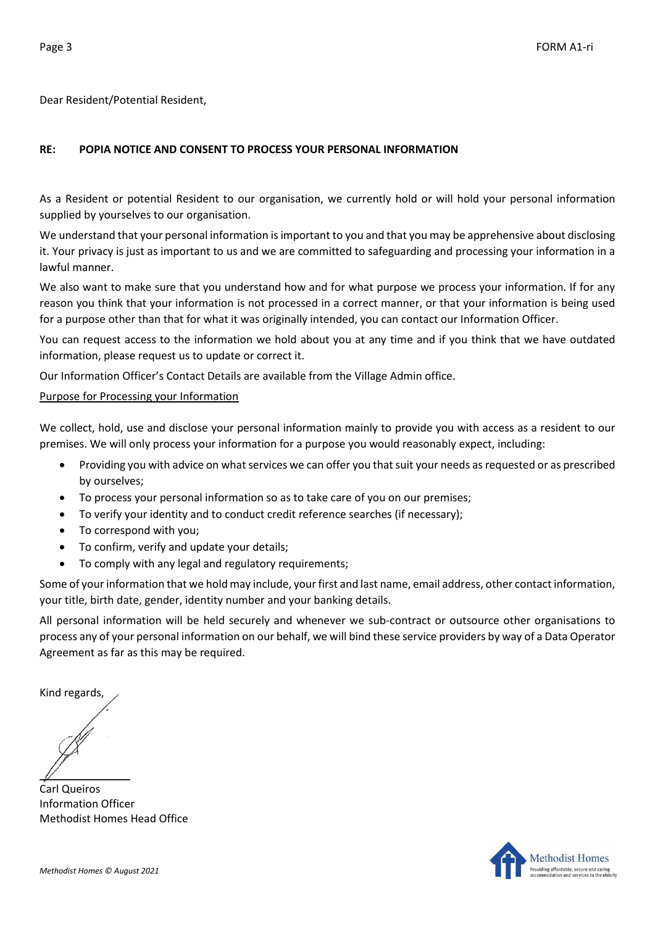Dear Resident/Potential Resident,

# **RE: POPIA NOTICE AND CONSENT TO PROCESS YOUR PERSONAL INFORMATION**

As a Resident or potential Resident to our organisation, we currently hold or will hold your personal information supplied by yourselves to our organisation.

We understand that your personal information is important to you and that you may be apprehensive about disclosing it. Your privacy is just as important to us and we are committed to safeguarding and processing your information in a lawful manner.

We also want to make sure that you understand how and for what purpose we process your information. If for any reason you think that your information is not processed in a correct manner, or that your information is being used for a purpose other than that for what it was originally intended, you can contact our Information Officer.

You can request access to the information we hold about you at any time and if you think that we have outdated information, please request us to update or correct it.

Our Information Officer's Contact Details are available from the Village Admin office.

### Purpose for Processing your Information

We collect, hold, use and disclose your personal information mainly to provide you with access as a resident to our premises. We will only process your information for a purpose you would reasonably expect, including:

- Providing you with advice on what services we can offer you that suit your needs as requested or as prescribed by ourselves;
- To process your personal information so as to take care of you on our premises;
- To verify your identity and to conduct credit reference searches (if necessary);
- To correspond with you;
- To confirm, verify and update your details;
- To comply with any legal and regulatory requirements;

Some of your information that we hold may include, your first and last name, email address, other contact information, your title, birth date, gender, identity number and your banking details.

All personal information will be held securely and whenever we sub-contract or outsource other organisations to process any of your personal information on our behalf, we will bind these service providers by way of a Data Operator Agreement as far as this may be required.

Kind regards,

 $\mathbb{Z}$ 

Carl Queiros Information Officer Methodist Homes Head Office